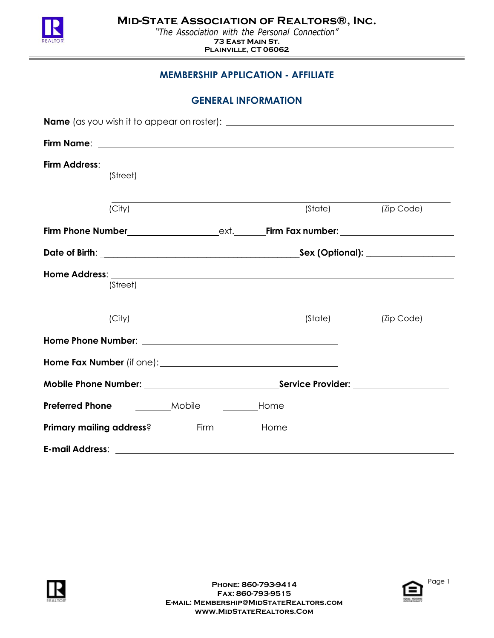

*"The Association with the Personal Connection"* **73 East Main St. Plainville, CT 06062**

# **MEMBERSHIP APPLICATION - AFFILIATE**

|  | (Street) |                                                      |                      |                    |
|--|----------|------------------------------------------------------|----------------------|--------------------|
|  | (City)   |                                                      |                      | (State) (Zip Code) |
|  |          |                                                      |                      |                    |
|  |          |                                                      |                      |                    |
|  | (Street) |                                                      |                      |                    |
|  | (City)   |                                                      | (State) <b>State</b> | (Zip Code)         |
|  |          |                                                      |                      |                    |
|  |          |                                                      |                      |                    |
|  |          |                                                      |                      |                    |
|  |          | <b>Preferred Phone</b> _________Mobile _________Home |                      |                    |
|  |          |                                                      |                      |                    |
|  |          |                                                      |                      |                    |



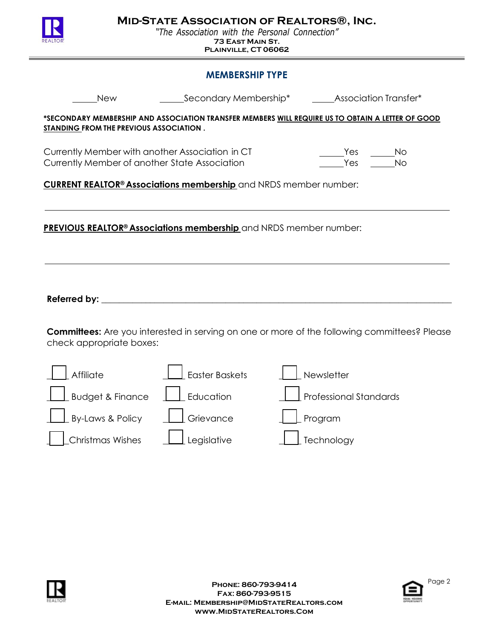

*"The Association with the Personal Connection"* **73 East Main St. Plainville, CT 06062**

## **MEMBERSHIP TYPE**

| <b>New</b>                                                                                                                                          | Secondary Membership* |            | <b>Association Transfer*</b>                                                                        |  |  |  |  |
|-----------------------------------------------------------------------------------------------------------------------------------------------------|-----------------------|------------|-----------------------------------------------------------------------------------------------------|--|--|--|--|
| *SECONDARY MEMBERSHIP AND ASSOCIATION TRANSFER MEMBERS WILL REQUIRE US TO OBTAIN A LETTER OF GOOD<br><b>STANDING FROM THE PREVIOUS ASSOCIATION.</b> |                       |            |                                                                                                     |  |  |  |  |
| Currently Member with another Association in CT<br>Currently Member of another State Association                                                    |                       |            | Yes<br>No<br>Yes<br><b>No</b>                                                                       |  |  |  |  |
| <b>CURRENT REALTOR<sup>®</sup> Associations membership</b> and NRDS member number:                                                                  |                       |            |                                                                                                     |  |  |  |  |
|                                                                                                                                                     |                       |            |                                                                                                     |  |  |  |  |
| <b>PREVIOUS REALTOR<sup>®</sup> Associations membership</b> and NRDS member number:                                                                 |                       |            |                                                                                                     |  |  |  |  |
|                                                                                                                                                     |                       |            |                                                                                                     |  |  |  |  |
|                                                                                                                                                     |                       |            |                                                                                                     |  |  |  |  |
|                                                                                                                                                     |                       |            |                                                                                                     |  |  |  |  |
|                                                                                                                                                     |                       |            |                                                                                                     |  |  |  |  |
|                                                                                                                                                     |                       |            | <b>Committees:</b> Are you interested in serving on one or more of the following committees? Please |  |  |  |  |
| check appropriate boxes:                                                                                                                            |                       |            |                                                                                                     |  |  |  |  |
| Affiliate                                                                                                                                           | <b>Easter Baskets</b> | Newsletter |                                                                                                     |  |  |  |  |
| <b>Budget &amp; Finance</b>                                                                                                                         | Education             |            | <b>Professional Standards</b>                                                                       |  |  |  |  |
| By-Laws & Policy                                                                                                                                    | Grievance             | Program    |                                                                                                     |  |  |  |  |
| <b>Christmas Wishes</b>                                                                                                                             | Legislative           | Technology |                                                                                                     |  |  |  |  |



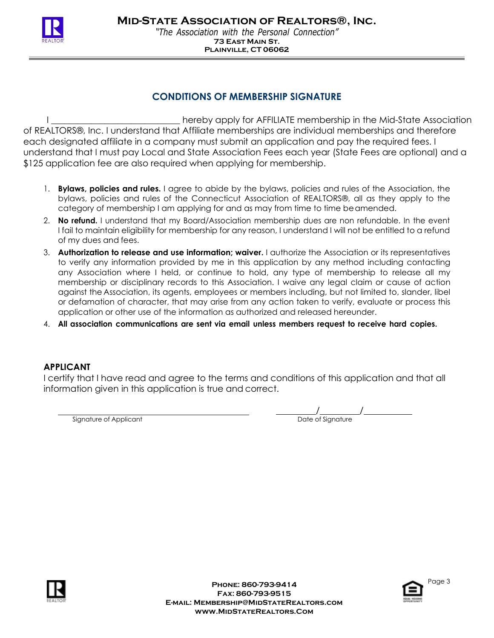

**Plainville, CT 06062**

### **CONDITIONS OF MEMBERSHIP SIGNATURE**

I \_\_\_\_\_\_\_\_\_\_\_\_\_\_\_\_\_\_\_\_\_\_\_\_\_\_\_\_\_ hereby apply for AFFILIATE membership in the Mid-State Association of REALTORS®, Inc. I understand that Affiliate memberships are individual memberships and therefore each designated affiliate in a company must submit an application and pay the required fees. I understand that I must pay Local and State Association Fees each year (State Fees are optional) and a \$125 application fee are also required when applying for membership.

- 1. **Bylaws, policies and rules.** I agree to abide by the bylaws, policies and rules of the Association, the bylaws, policies and rules of the Connecticut Association of REALTORS®, all as they apply to the category of membership I am applying for and as may from time to time beamended.
- 2. **No refund.** I understand that my Board/Association membership dues are non refundable. In the event I fail to maintain eligibility for membership for any reason, I understand I will not be entitled to a refund of my dues and fees.
- 3. **Authorization to release and use information; waiver.** I authorize the Association or its representatives to verify any information provided by me in this application by any method including contacting any Association where I held, or continue to hold, any type of membership to release all my membership or disciplinary records to this Association. I waive any legal claim or cause of action against the Association, its agents, employees or members including, but not limited to, slander, libel or defamation of character, that may arise from any action taken to verify, evaluate or process this application or other use of the information as authorized and released hereunder.
- 4. **All association communications are sent via email unless members request to receive hard copies.**

#### **APPLICANT**

I certify that I have read and agree to the terms and conditions of this application and that all information given in this application is true and correct.

Signature of Applicant

/<br>Date of Signature



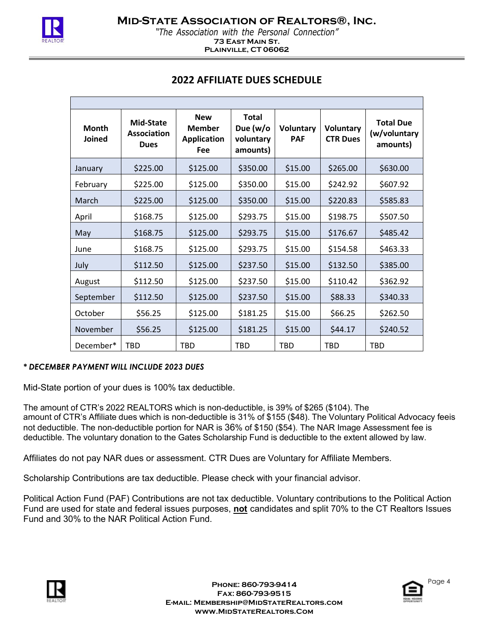

*"The Association with the Personal Connection"* **73 East Main St. Plainville, CT 06062**

| <b>Month</b><br>Joined | <b>Mid-State</b><br><b>Association</b><br><b>Dues</b> | <b>New</b><br><b>Member</b><br><b>Application</b><br>Fee | <b>Total</b><br>Due (w/o<br>voluntary<br>amounts) | Voluntary<br><b>PAF</b> | Voluntary<br><b>CTR Dues</b> | <b>Total Due</b><br>(w/voluntary<br>amounts) |
|------------------------|-------------------------------------------------------|----------------------------------------------------------|---------------------------------------------------|-------------------------|------------------------------|----------------------------------------------|
| January                | \$225.00                                              | \$125.00                                                 | \$350.00                                          | \$15.00                 | \$265.00                     | \$630.00                                     |
| February               | \$225.00                                              | \$125.00                                                 | \$350.00                                          | \$15.00                 | \$242.92                     | \$607.92                                     |
| March                  | \$225.00                                              | \$125.00                                                 | \$350.00                                          | \$15.00                 | \$220.83                     | \$585.83                                     |
| April                  | \$168.75                                              | \$125.00                                                 | \$293.75                                          | \$15.00                 | \$198.75                     | \$507.50                                     |
| May                    | \$168.75                                              | \$125.00                                                 | \$293.75                                          | \$15.00                 | \$176.67                     | \$485.42                                     |
| June                   | \$168.75                                              | \$125.00                                                 | \$293.75                                          | \$15.00                 | \$154.58                     | \$463.33                                     |
| July                   | \$112.50                                              | \$125.00                                                 | \$237.50                                          | \$15.00                 | \$132.50                     | \$385.00                                     |
| August                 | \$112.50                                              | \$125.00                                                 | \$237.50                                          | \$15.00                 | \$110.42                     | \$362.92                                     |
| September              | \$112.50                                              | \$125.00                                                 | \$237.50                                          | \$15.00                 | \$88.33                      | \$340.33                                     |
| October                | \$56.25                                               | \$125.00                                                 | \$181.25                                          | \$15.00                 | \$66.25                      | \$262.50                                     |
| November               | \$56.25                                               | \$125.00                                                 | \$181.25                                          | \$15.00                 | \$44.17                      | \$240.52                                     |
| December*              | <b>TBD</b>                                            | <b>TBD</b>                                               | <b>TBD</b>                                        | <b>TBD</b>              | <b>TBD</b>                   | <b>TBD</b>                                   |

#### *\* DECEMBER PAYMENT WILL INCLUDE 2023 DUES*

Mid-State portion of your dues is 100% tax deductible.

The amount of CTR's 2022 REALTORS which is non-deductible, is 39% of \$265 (\$104). The amount of CTR's Affiliate dues which is non-deductible is 31% of \$155 (\$48). The Voluntary Political Advocacy feeis not deductible. The non-deductible portion for NAR is 36% of \$150 (\$54). The NAR Image Assessment fee is deductible. The voluntary donation to the Gates Scholarship Fund is deductible to the extent allowed by law.

Affiliates do not pay NAR dues or assessment. CTR Dues are Voluntary for Affiliate Members.

Scholarship Contributions are tax deductible. Please check with your financial advisor.

Political Action Fund (PAF) Contributions are not tax deductible. Voluntary contributions to the Political Action Fund are used for state and federal issues purposes, **not** candidates and split 70% to the CT Realtors Issues Fund and 30% to the NAR Political Action Fund.



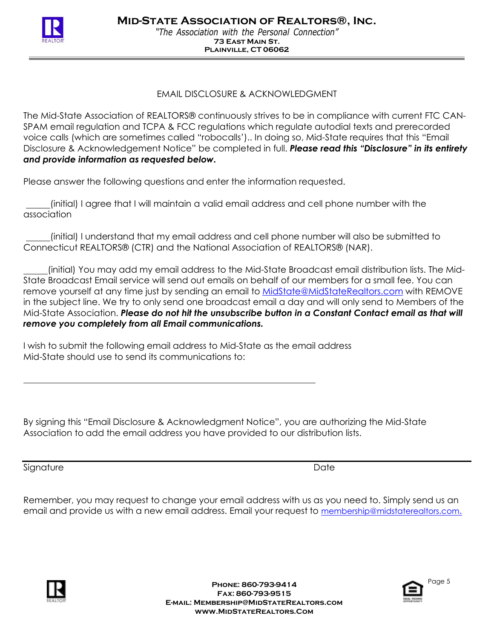

### EMAIL DISCLOSURE & ACKNOWLEDGMENT

The Mid-State Association of REALTORS® continuously strives to be in compliance with current FTC CAN-SPAM email regulation and TCPA & FCC regulations which regulate autodial texts and prerecorded voice calls (which are sometimes called "robocalls').. In doing so, Mid-State requires that this "Email Disclosure & Acknowledgement Notice" be completed in full. *Please read this "Disclosure" in its entirety and provide information as requested below.*

Please answer the following questions and enter the information requested.

(initial) I agree that I will maintain a valid email address and cell phone number with the association

(initial) I understand that my email address and cell phone number will also be submitted to Connecticut REALTORS® (CTR) and the National Association of REALTORS® (NAR).

(initial) You may add my email address to the Mid-State Broadcast email distribution lists. The Mid-State Broadcast Email service will send out emails on behalf of our members for a small fee. You can remove yourself at any time just by sending an email to MidState@MidStateRealtors.com with REMOVE in the subject line. We try to only send one broadcast email a day and will only send to Members of the Mid-State Association. *Please do not hit the unsubscribe button in a Constant Contact email as that will remove you completely from all Email communications.*

I wish to submit the following email address to Mid-State as the email address Mid-State should use to send its communications to:

By signing this "Email Disclosure & Acknowledgment Notice", you are authorizing the Mid-State Association to add the email address you have provided to our distribution lists.

Signature Date Date Date of the United States of the United States of the Date Date

Remember, you may request to change your email address with us as you need to. Simply send us an email and provide us with a new email address. Email your request to membership@midstaterealtors.co[m.](mailto:membership@midstaterealtors.com.)